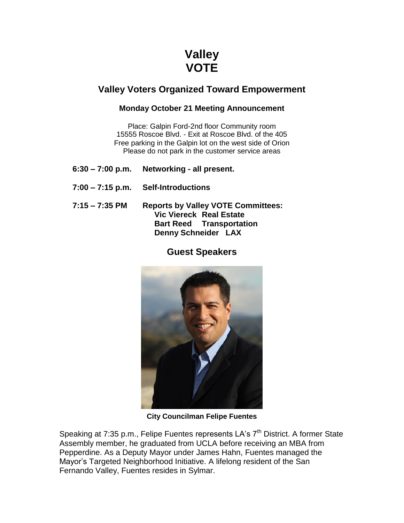## **Valley VOTE**

## **Valley Voters Organized Toward Empowerment**

## **Monday October 21 Meeting Announcement**

Place: Galpin Ford-2nd floor Community room 15555 Roscoe Blvd. - Exit at Roscoe Blvd. of the 405 Free parking in the Galpin lot on the west side of Orion Please do not park in the customer service areas

- **6:30 – 7:00 p.m. Networking - all present.**
- **7:00 – 7:15 p.m. Self-Introductions**
- **7:15 – 7:35 PM Reports by Valley VOTE Committees: Vic Viereck Real Estate Bart Reed Transportation Denny Schneider LAX**

## **Guest Speakers**



**City Councilman Felipe Fuentes**

Speaking at 7:35 p.m., Felipe Fuentes represents LA's 7<sup>th</sup> District. A former State Assembly member, he graduated from UCLA before receiving an MBA from Pepperdine. As a Deputy Mayor under James Hahn, Fuentes managed the Mayor's Targeted Neighborhood Initiative. A lifelong resident of the San Fernando Valley, Fuentes resides in Sylmar.